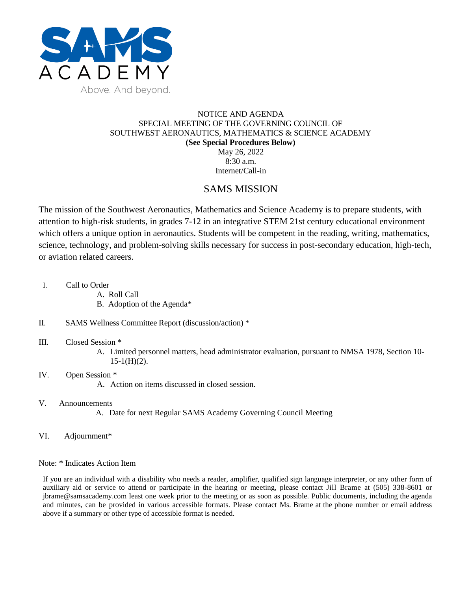

## NOTICE AND AGENDA SPECIAL MEETING OF THE GOVERNING COUNCIL OF SOUTHWEST AERONAUTICS, MATHEMATICS & SCIENCE ACADEMY **(See Special Procedures Below)** May 26, 2022 8:30 a.m.

Internet/Call-in

## SAMS MISSION

The mission of the Southwest Aeronautics, Mathematics and Science Academy is to prepare students, with attention to high-risk students, in grades 7-12 in an integrative STEM 21st century educational environment which offers a unique option in aeronautics. Students will be competent in the reading, writing, mathematics, science, technology, and problem-solving skills necessary for success in post-secondary education, high-tech, or aviation related careers.

- I. Call to Order
	- A. Roll Call
	- B. Adoption of the Agenda\*
- II. SAMS Wellness Committee Report (discussion/action) \*
- III. Closed Session \*
	- A. Limited personnel matters, head administrator evaluation, pursuant to NMSA 1978, Section 10-  $15-1(H)(2)$ .
- IV. Open Session \*

A. Action on items discussed in closed session.

V. Announcements

A. Date for next Regular SAMS Academy Governing Council Meeting

VI. Adjournment\*

Note: \* Indicates Action Item

If you are an individual with a disability who needs a reader, amplifier, qualified sign language interpreter, or any other form of auxiliary aid or service to attend or participate in the hearing or meeting, please contact Jill Brame at (505) 338-8601 or jbrame@samsacademy.com least one week prior to the meeting or as soon as possible. Public documents, including the agenda and minutes, can be provided in various accessible formats. Please contact Ms. Brame at the phone number or email address above if a summary or other type of accessible format is needed.